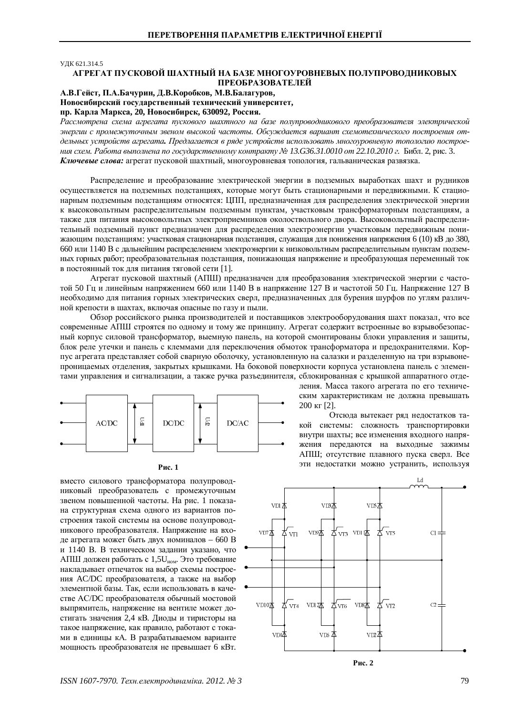УДК 621.314.5

## АГРЕГАТ ПУСКОВОЙ ШАХТНЫЙ НА БАЗЕ МНОГОУРОВНЕВЫХ ПОЛУПРОВОДНИКОВЫХ ПРЕОБРАЗОВАТЕЛЕЙ

## $A.B.$ Гейст, П.А.Бачурин, Д.В.Коробков, М.В.Балагуров,

Новосибирский государственный технический университет, пр. Карла Маркса, 20, Новосибирск, 630092, Россия.

Рассмотрена схема агрегата пускового шахтного на базе полупроводникового преобразователя электрической энергии с промежуточным звеном высокой частоты. Обсуждается вариант схемотехнического построения отдельных устройств агрегата. Предлагается в ряде устройств использовать многоуровневую топологию построе*ния схем. Работа выполнена по государственному контракту № 13.G36.31.0010 от 22.10.2010 г. Библ. 2, рис. 3.* Ключевые слова: агрегат пусковой шахтный, многоуровневая топология, гальваническая развязка.

Распределение и преобразование электрической энергии в подземных выработках шахт и рудников осуществляется на подземных подстанциях, которые могут быть стационарными и передвижными. К стационарным подземным подстанциям относятся: ЦПП, предназначенная для распределения электрической энергии к высоковольтным распределительным подземным пунктам, участковым трансформаторным подстанциям, а также для питания высоковольтных электроприемников околоствольного двора. Высоковольтный распределительный подземный пункт предназначен для распределения электроэнергии участковым передвижным понижающим полстанциям: участковая стационарная полстанция, служащая для понижения напряжения 6 (10) кВ до 380, 660 или 1140 В с дальнейшим распределением электроэнергии к низковольтным распределительным пунктам подземных горных работ; преобразовательная подстанция, понижающая напряжение и преобразующая переменный ток в постоянный ток для питания тяговой сети [1].

Агрегат пусковой шахтный (АПШ) предназначен для преобразования электрической энергии с частотой 50 Гц и линейным напряжением 660 или 1140 В в напряжение 127 В и частотой 50 Гц. Напряжение 127 В необходимо для питания горных электрических сверл, предназначенных для бурения шурфов по углям различной крепости в шахтах, включая опасные по газу и пыли.

Обзор российского рынка произволителей и поставшиков электрооборулования шахт показал, что все современные АПШ строятся по одному и тому же принципу. Агрегат содержит встроенные во взрывобезопасный корпус силовой трансформатор, выемную панель, на которой смонтированы блоки управления и защиты, блок реле утечки и панель с клеммами для переключения обмоток трансформатора и предохранителями. Корпус агрегата представляет собой сварную оболочку, установленную на салазки и разделенную на три взрывонепроницаемых отделения, закрытых крышками. На боковой поверхности корпуса установлена панель с элементами управления и сигнализации, а также ручка разъединителя, сблокированная с крышкой аппаратного отде-





вместо силового трансформатора полупроводниковый преобразователь с промежуточным звеном повышенной частоты. На рис. 1 показана структурная схема одного из вариантов построения такой системы на основе полупроводникового преобразователя. Напряжение на входе агрегата может быть двух номиналов – 660 В и 1140 В. В техническом задании указано, что АПШ должен работать с 1,5U<sub>ном</sub>. Это требование накладывает отпечаток на выбор схемы построения АС/DC преобразователя, а также на выбор элементной базы. Так, если использовать в качестве AC/DC преобразователя обычный мостовой выпрямитель, напряжение на вентиле может достигать значения 2,4 кВ. Диоды и тиристоры на такое напряжение, как правило, работают с токами в единицы кА. В разрабатываемом варианте мощность преобразователя не превышает 6 кВт. 200 ɤɝ [2]. Отсюда вытекает ряд недостатков такой системы: сложность транспортировки внутри шахты: все изменения входного напря-

жения передаются на выходные зажимы АПШ; отсутствие плавного пуска сверл. Все эти недостатки можно устранить, используя

ления. Масса такого агрегата по его техническим характеристикам не должна превышать